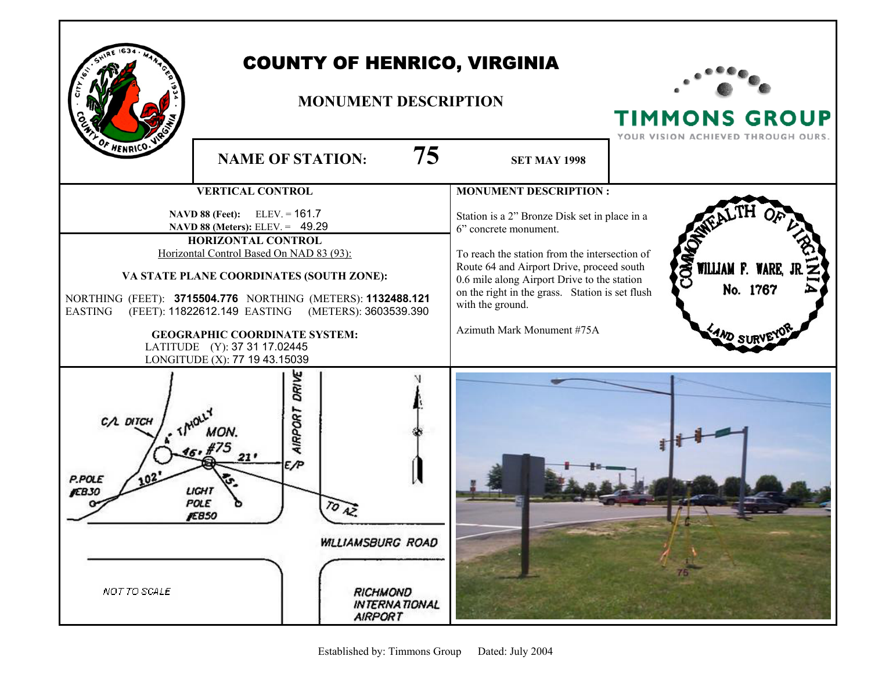